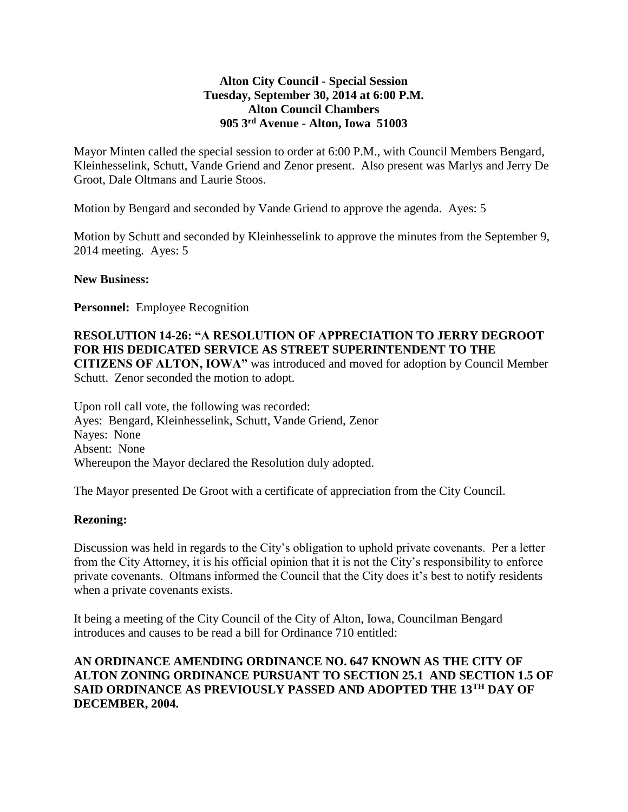## **Alton City Council - Special Session Tuesday, September 30, 2014 at 6:00 P.M. Alton Council Chambers 905 3rd Avenue - Alton, Iowa 51003**

Mayor Minten called the special session to order at 6:00 P.M., with Council Members Bengard, Kleinhesselink, Schutt, Vande Griend and Zenor present. Also present was Marlys and Jerry De Groot, Dale Oltmans and Laurie Stoos.

Motion by Bengard and seconded by Vande Griend to approve the agenda. Ayes: 5

Motion by Schutt and seconded by Kleinhesselink to approve the minutes from the September 9, 2014 meeting. Ayes: 5

### **New Business:**

**Personnel:** Employee Recognition

## **RESOLUTION 14-26: "A RESOLUTION OF APPRECIATION TO JERRY DEGROOT FOR HIS DEDICATED SERVICE AS STREET SUPERINTENDENT TO THE CITIZENS OF ALTON, IOWA"** was introduced and moved for adoption by Council Member

Schutt. Zenor seconded the motion to adopt.

Upon roll call vote, the following was recorded: Ayes: Bengard, Kleinhesselink, Schutt, Vande Griend, Zenor Nayes: None Absent: None Whereupon the Mayor declared the Resolution duly adopted.

The Mayor presented De Groot with a certificate of appreciation from the City Council.

### **Rezoning:**

Discussion was held in regards to the City's obligation to uphold private covenants. Per a letter from the City Attorney, it is his official opinion that it is not the City's responsibility to enforce private covenants. Oltmans informed the Council that the City does it's best to notify residents when a private covenants exists.

It being a meeting of the City Council of the City of Alton, Iowa, Councilman Bengard introduces and causes to be read a bill for Ordinance 710 entitled:

## **AN ORDINANCE AMENDING ORDINANCE NO. 647 KNOWN AS THE CITY OF ALTON ZONING ORDINANCE PURSUANT TO SECTION 25.1 AND SECTION 1.5 OF SAID ORDINANCE AS PREVIOUSLY PASSED AND ADOPTED THE 13TH DAY OF DECEMBER, 2004.**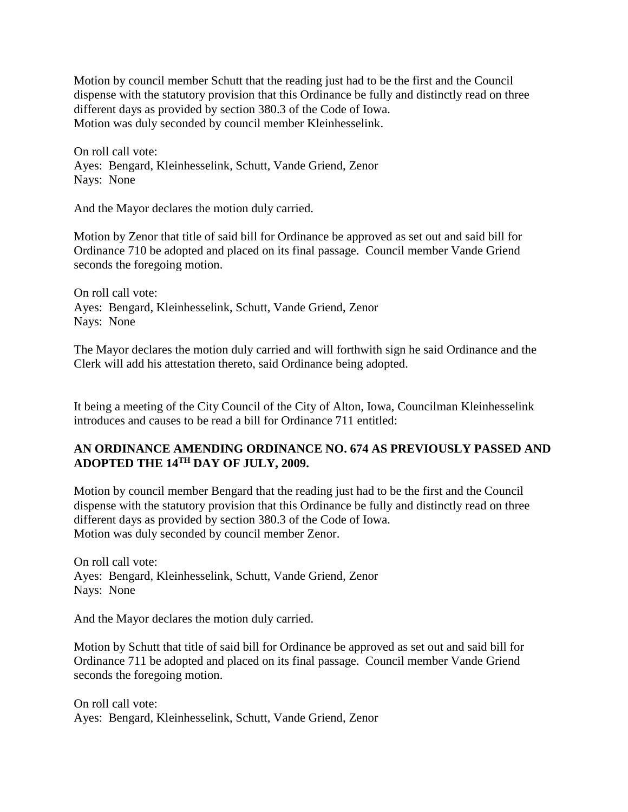Motion by council member Schutt that the reading just had to be the first and the Council dispense with the statutory provision that this Ordinance be fully and distinctly read on three different days as provided by section 380.3 of the Code of Iowa. Motion was duly seconded by council member Kleinhesselink.

On roll call vote: Ayes: Bengard, Kleinhesselink, Schutt, Vande Griend, Zenor Nays: None

And the Mayor declares the motion duly carried.

Motion by Zenor that title of said bill for Ordinance be approved as set out and said bill for Ordinance 710 be adopted and placed on its final passage. Council member Vande Griend seconds the foregoing motion.

On roll call vote: Ayes: Bengard, Kleinhesselink, Schutt, Vande Griend, Zenor Nays: None

The Mayor declares the motion duly carried and will forthwith sign he said Ordinance and the Clerk will add his attestation thereto, said Ordinance being adopted.

It being a meeting of the City Council of the City of Alton, Iowa, Councilman Kleinhesselink introduces and causes to be read a bill for Ordinance 711 entitled:

# **AN ORDINANCE AMENDING ORDINANCE NO. 674 AS PREVIOUSLY PASSED AND ADOPTED THE 14TH DAY OF JULY, 2009.**

Motion by council member Bengard that the reading just had to be the first and the Council dispense with the statutory provision that this Ordinance be fully and distinctly read on three different days as provided by section 380.3 of the Code of Iowa. Motion was duly seconded by council member Zenor.

On roll call vote: Ayes: Bengard, Kleinhesselink, Schutt, Vande Griend, Zenor Nays: None

And the Mayor declares the motion duly carried.

Motion by Schutt that title of said bill for Ordinance be approved as set out and said bill for Ordinance 711 be adopted and placed on its final passage. Council member Vande Griend seconds the foregoing motion.

On roll call vote: Ayes: Bengard, Kleinhesselink, Schutt, Vande Griend, Zenor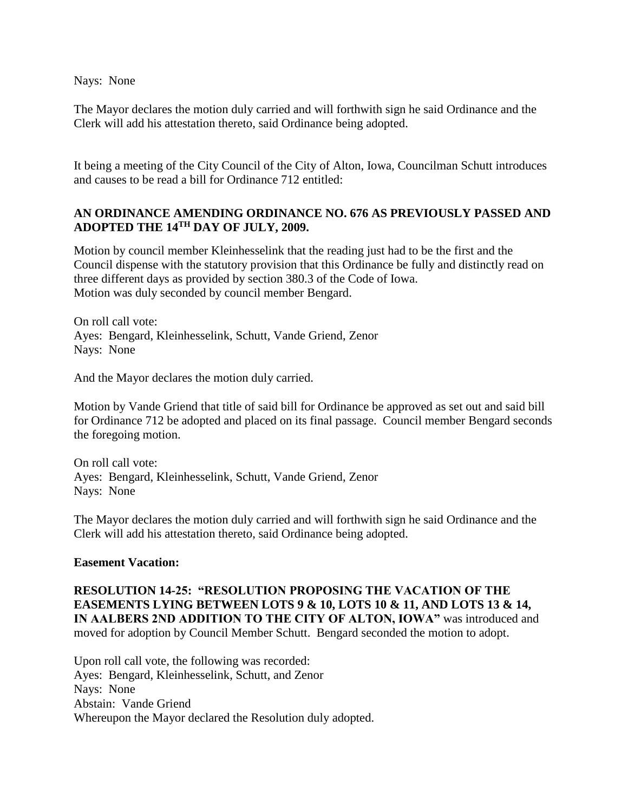Nays: None

The Mayor declares the motion duly carried and will forthwith sign he said Ordinance and the Clerk will add his attestation thereto, said Ordinance being adopted.

It being a meeting of the City Council of the City of Alton, Iowa, Councilman Schutt introduces and causes to be read a bill for Ordinance 712 entitled:

# **AN ORDINANCE AMENDING ORDINANCE NO. 676 AS PREVIOUSLY PASSED AND ADOPTED THE 14TH DAY OF JULY, 2009.**

Motion by council member Kleinhesselink that the reading just had to be the first and the Council dispense with the statutory provision that this Ordinance be fully and distinctly read on three different days as provided by section 380.3 of the Code of Iowa. Motion was duly seconded by council member Bengard.

On roll call vote: Ayes: Bengard, Kleinhesselink, Schutt, Vande Griend, Zenor Nays: None

And the Mayor declares the motion duly carried.

Motion by Vande Griend that title of said bill for Ordinance be approved as set out and said bill for Ordinance 712 be adopted and placed on its final passage. Council member Bengard seconds the foregoing motion.

On roll call vote: Ayes: Bengard, Kleinhesselink, Schutt, Vande Griend, Zenor Nays: None

The Mayor declares the motion duly carried and will forthwith sign he said Ordinance and the Clerk will add his attestation thereto, said Ordinance being adopted.

#### **Easement Vacation:**

**RESOLUTION 14-25: "RESOLUTION PROPOSING THE VACATION OF THE EASEMENTS LYING BETWEEN LOTS 9 & 10, LOTS 10 & 11, AND LOTS 13 & 14,** IN AALBERS 2ND ADDITION TO THE CITY OF ALTON, IOWA" was introduced and moved for adoption by Council Member Schutt. Bengard seconded the motion to adopt.

Upon roll call vote, the following was recorded: Ayes: Bengard, Kleinhesselink, Schutt, and Zenor Nays: None Abstain: Vande Griend Whereupon the Mayor declared the Resolution duly adopted.